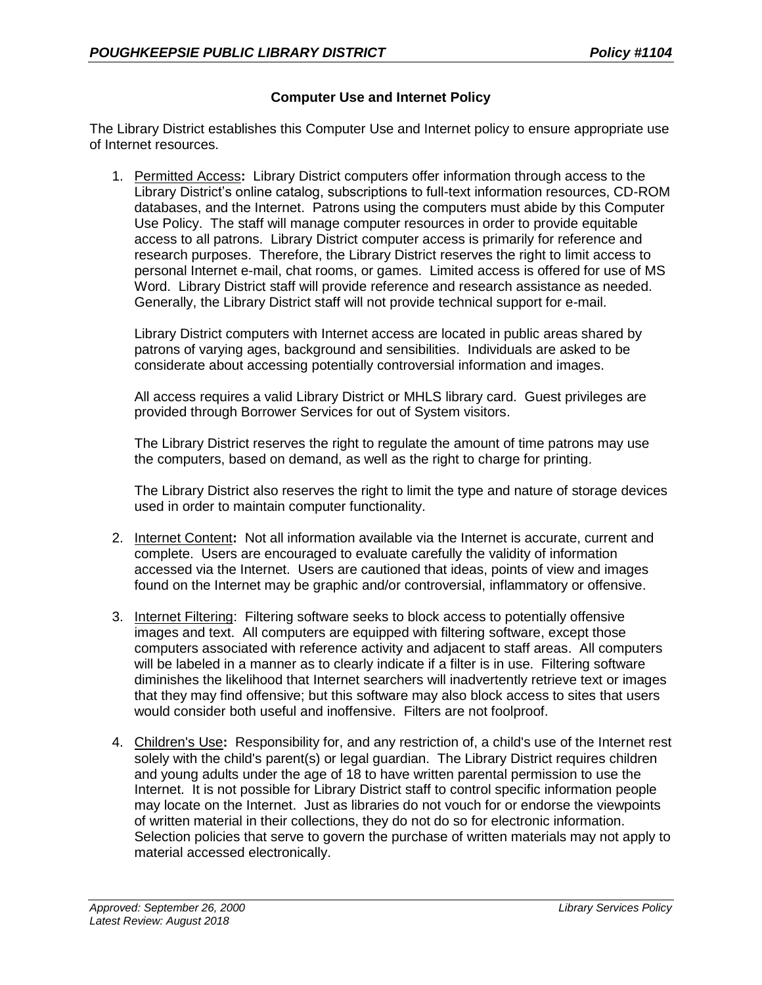## **Computer Use and Internet Policy**

The Library District establishes this Computer Use and Internet policy to ensure appropriate use of Internet resources.

1. Permitted Access**:** Library District computers offer information through access to the Library District's online catalog, subscriptions to full-text information resources, CD-ROM databases, and the Internet. Patrons using the computers must abide by this Computer Use Policy. The staff will manage computer resources in order to provide equitable access to all patrons. Library District computer access is primarily for reference and research purposes. Therefore, the Library District reserves the right to limit access to personal Internet e-mail, chat rooms, or games. Limited access is offered for use of MS Word. Library District staff will provide reference and research assistance as needed. Generally, the Library District staff will not provide technical support for e-mail.

Library District computers with Internet access are located in public areas shared by patrons of varying ages, background and sensibilities. Individuals are asked to be considerate about accessing potentially controversial information and images.

All access requires a valid Library District or MHLS library card. Guest privileges are provided through Borrower Services for out of System visitors.

The Library District reserves the right to regulate the amount of time patrons may use the computers, based on demand, as well as the right to charge for printing.

The Library District also reserves the right to limit the type and nature of storage devices used in order to maintain computer functionality.

- 2. Internet Content**:** Not all information available via the Internet is accurate, current and complete. Users are encouraged to evaluate carefully the validity of information accessed via the Internet. Users are cautioned that ideas, points of view and images found on the Internet may be graphic and/or controversial, inflammatory or offensive.
- 3. Internet Filtering: Filtering software seeks to block access to potentially offensive images and text. All computers are equipped with filtering software, except those computers associated with reference activity and adjacent to staff areas. All computers will be labeled in a manner as to clearly indicate if a filter is in use. Filtering software diminishes the likelihood that Internet searchers will inadvertently retrieve text or images that they may find offensive; but this software may also block access to sites that users would consider both useful and inoffensive. Filters are not foolproof.
- 4. Children's Use**:** Responsibility for, and any restriction of, a child's use of the Internet rest solely with the child's parent(s) or legal guardian. The Library District requires children and young adults under the age of 18 to have written parental permission to use the Internet. It is not possible for Library District staff to control specific information people may locate on the Internet. Just as libraries do not vouch for or endorse the viewpoints of written material in their collections, they do not do so for electronic information. Selection policies that serve to govern the purchase of written materials may not apply to material accessed electronically.